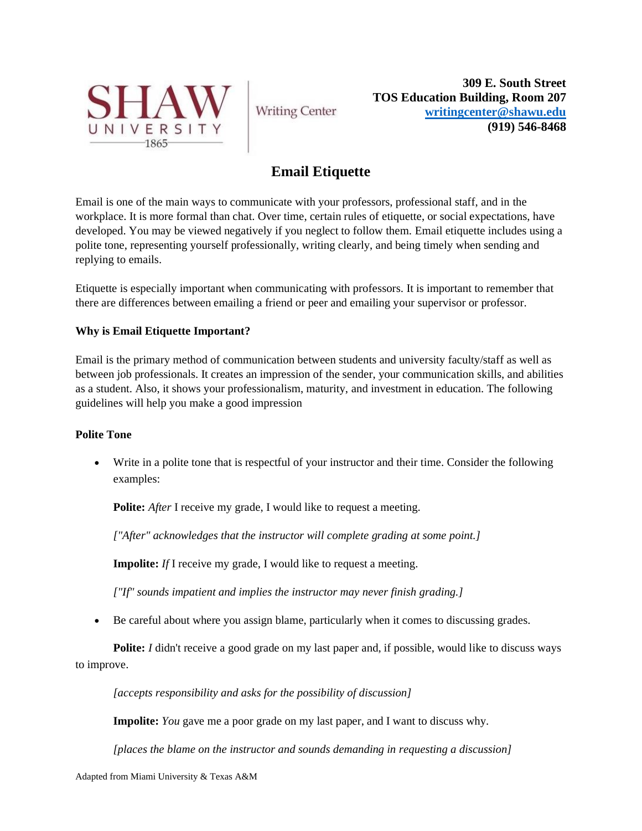

**Writing Center** 

**309 E. South Street TOS Education Building, Room 207 [writingcenter@shawu.edu](mailto:writingcenter@shawu.edu) (919) 546-8468**

# **Email Etiquette**

Email is one of the main ways to communicate with your professors, professional staff, and in the workplace. It is more formal than chat. Over time, certain rules of etiquette, or social expectations, have developed. You may be viewed negatively if you neglect to follow them. Email etiquette includes using a polite tone, representing yourself professionally, writing clearly, and being timely when sending and replying to emails.

Etiquette is especially important when communicating with professors. It is important to remember that there are differences between emailing a friend or peer and emailing your supervisor or professor.

### **Why is Email Etiquette Important?**

Email is the primary method of communication between students and university faculty/staff as well as between job professionals. It creates an impression of the sender, your communication skills, and abilities as a student. Also, it shows your professionalism, maturity, and investment in education. The following guidelines will help you make a good impression

### **Polite Tone**

• Write in a polite tone that is respectful of your instructor and their time. Consider the following examples:

**Polite:** *After* I receive my grade, I would like to request a meeting.

*["After" acknowledges that the instructor will complete grading at some point.]*

**Impolite:** *If* I receive my grade, I would like to request a meeting.

*["If" sounds impatient and implies the instructor may never finish grading.]*

• Be careful about where you assign blame, particularly when it comes to discussing grades.

**Polite:** *I* didn't receive a good grade on my last paper and, if possible, would like to discuss ways to improve.

*[accepts responsibility and asks for the possibility of discussion]*

**Impolite:** *You* gave me a poor grade on my last paper, and I want to discuss why.

*[places the blame on the instructor and sounds demanding in requesting a discussion]*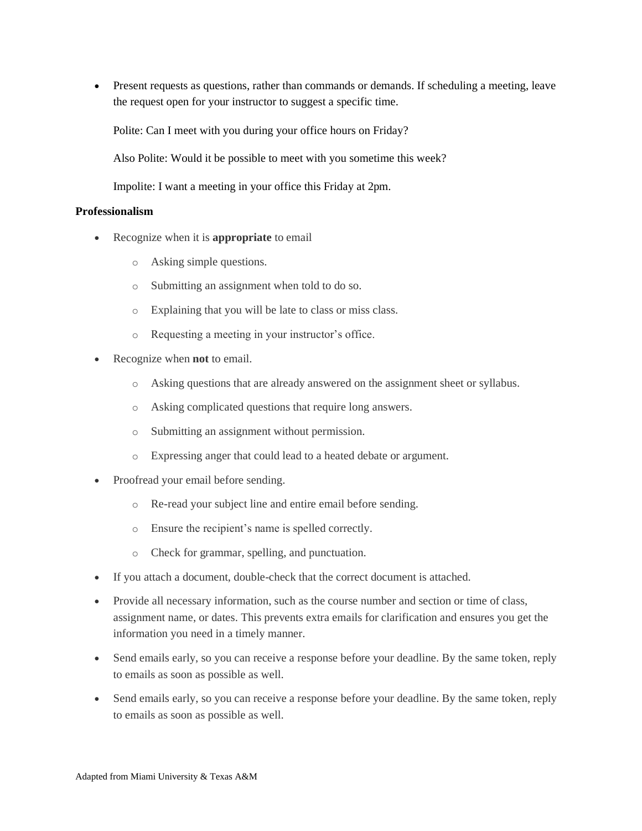• Present requests as questions, rather than commands or demands. If scheduling a meeting, leave the request open for your instructor to suggest a specific time.

Polite: Can I meet with you during your office hours on Friday?

Also Polite: Would it be possible to meet with you sometime this week?

Impolite: I want a meeting in your office this Friday at 2pm.

#### **Professionalism**

- Recognize when it is **appropriate** to email
	- o Asking simple questions.
	- o Submitting an assignment when told to do so.
	- o Explaining that you will be late to class or miss class.
	- o Requesting a meeting in your instructor's office.
- Recognize when **not** to email.
	- o Asking questions that are already answered on the assignment sheet or syllabus.
	- o Asking complicated questions that require long answers.
	- o Submitting an assignment without permission.
	- o Expressing anger that could lead to a heated debate or argument.
- Proofread your email before sending.
	- o Re-read your subject line and entire email before sending.
	- o Ensure the recipient's name is spelled correctly.
	- o Check for grammar, spelling, and punctuation.
- If you attach a document, double-check that the correct document is attached.
- Provide all necessary information, such as the course number and section or time of class, assignment name, or dates. This prevents extra emails for clarification and ensures you get the information you need in a timely manner.
- Send emails early, so you can receive a response before your deadline. By the same token, reply to emails as soon as possible as well.
- Send emails early, so you can receive a response before your deadline. By the same token, reply to emails as soon as possible as well.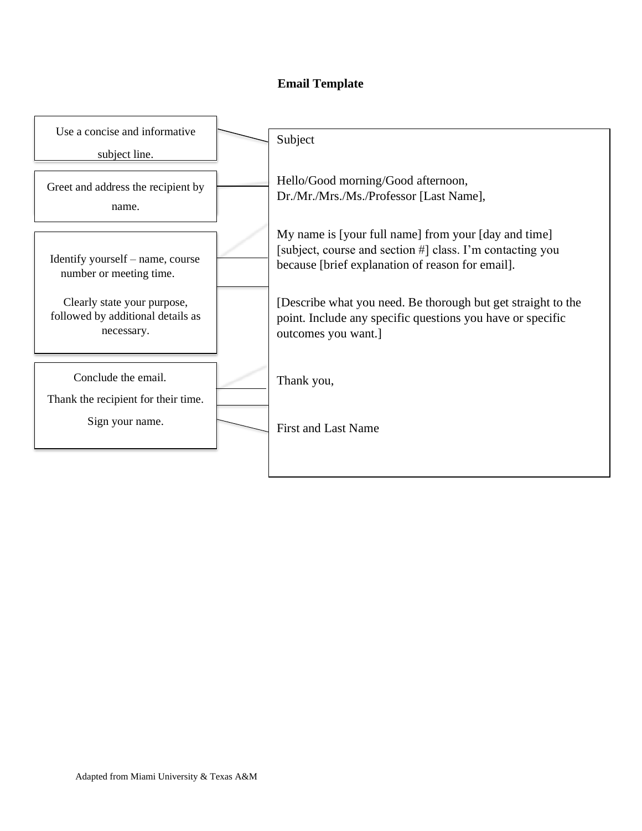## **Email Template**